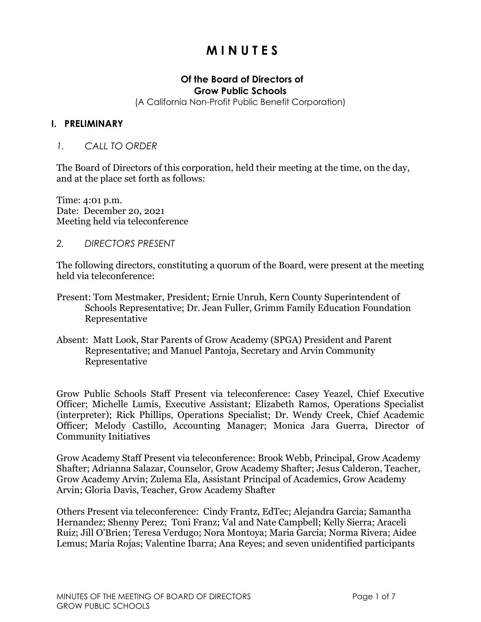# **M I N U T E S**

#### **Of the Board of Directors of Grow Public Schools**

(A California Non-Profit Public Benefit Corporation)

#### **I. PRELIMINARY**

#### *1. CALL TO ORDER*

The Board of Directors of this corporation, held their meeting at the time, on the day, and at the place set forth as follows:

Time: 4:01 p.m. Date: December 20, 2021 Meeting held via teleconference

*2. DIRECTORS PRESENT*

The following directors, constituting a quorum of the Board, were present at the meeting held via teleconference:

- Present: Tom Mestmaker, President; Ernie Unruh, Kern County Superintendent of Schools Representative; Dr. Jean Fuller, Grimm Family Education Foundation Representative
- Absent: Matt Look, Star Parents of Grow Academy (SPGA) President and Parent Representative; and Manuel Pantoja, Secretary and Arvin Community Representative

Grow Public Schools Staff Present via teleconference: Casey Yeazel, Chief Executive Officer; Michelle Lumis, Executive Assistant; Elizabeth Ramos, Operations Specialist (interpreter); Rick Phillips, Operations Specialist; Dr. Wendy Creek, Chief Academic Officer; Melody Castillo, Accounting Manager; Monica Jara Guerra, Director of Community Initiatives

Grow Academy Staff Present via teleconference: Brook Webb, Principal, Grow Academy Shafter; Adrianna Salazar, Counselor, Grow Academy Shafter; Jesus Calderon, Teacher, Grow Academy Arvin; Zulema Ela, Assistant Principal of Academics, Grow Academy Arvin; Gloria Davis, Teacher, Grow Academy Shafter

Others Present via teleconference: Cindy Frantz, EdTec; Alejandra Garcia; Samantha Hernandez; Shenny Perez; Toni Franz; Val and Nate Campbell; Kelly Sierra; Araceli Ruiz; Jill O'Brien; Teresa Verdugo; Nora Montoya; Maria Garcia; Norma Rivera; Aidee Lemus; Maria Rojas; Valentine Ibarra; Ana Reyes; and seven unidentified participants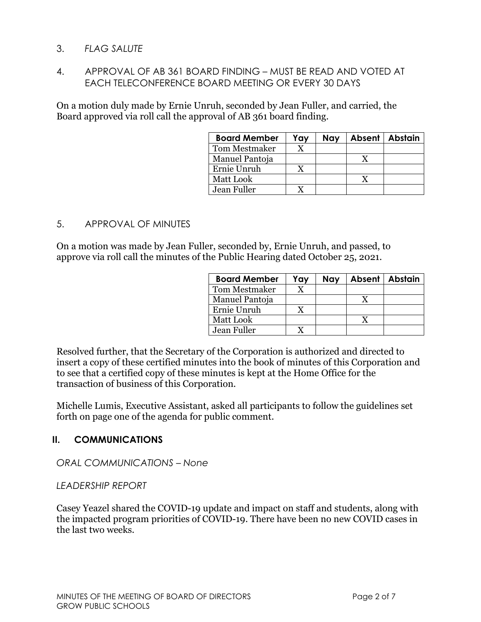## 3. *FLAG SALUTE*

## 4. APPROVAL OF AB 361 BOARD FINDING – MUST BE READ AND VOTED AT EACH TELECONFERENCE BOARD MEETING OR EVERY 30 DAYS

On a motion duly made by Ernie Unruh, seconded by Jean Fuller, and carried, the Board approved via roll call the approval of AB 361 board finding.

| <b>Board Member</b> | Yay | <b>Nay</b> | Absent   Abstain |
|---------------------|-----|------------|------------------|
| Tom Mestmaker       |     |            |                  |
| Manuel Pantoja      |     |            |                  |
| Ernie Unruh         |     |            |                  |
| Matt Look           |     |            |                  |
| Jean Fuller         |     |            |                  |

## 5. APPROVAL OF MINUTES

On a motion was made by Jean Fuller, seconded by, Ernie Unruh, and passed, to approve via roll call the minutes of the Public Hearing dated October 25, 2021.

| <b>Board Member</b>  | Yay | Nay |   | Absent   Abstain |
|----------------------|-----|-----|---|------------------|
| <b>Tom Mestmaker</b> |     |     |   |                  |
| Manuel Pantoja       |     |     | X |                  |
| Ernie Unruh          | X   |     |   |                  |
| Matt Look            |     |     |   |                  |
| Jean Fuller          |     |     |   |                  |

Resolved further, that the Secretary of the Corporation is authorized and directed to insert a copy of these certified minutes into the book of minutes of this Corporation and to see that a certified copy of these minutes is kept at the Home Office for the transaction of business of this Corporation.

Michelle Lumis, Executive Assistant, asked all participants to follow the guidelines set forth on page one of the agenda for public comment.

# **II. COMMUNICATIONS**

#### *ORAL COMMUNICATIONS – None*

#### *LEADERSHIP REPORT*

Casey Yeazel shared the COVID-19 update and impact on staff and students, along with the impacted program priorities of COVID-19. There have been no new COVID cases in the last two weeks.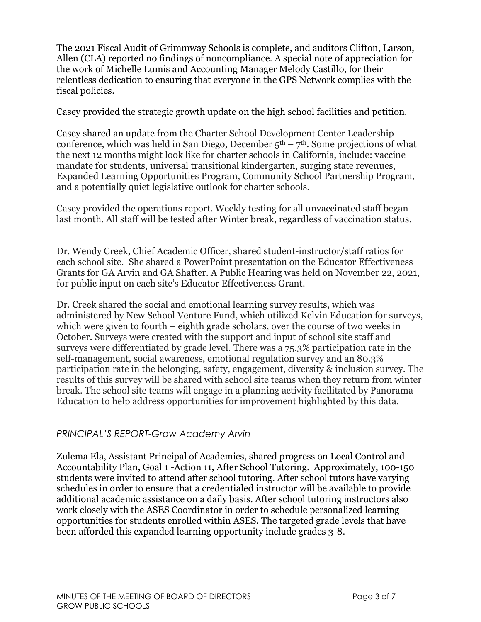The 2021 Fiscal Audit of Grimmway Schools is complete, and auditors Clifton, Larson, Allen (CLA) reported no findings of noncompliance. A special note of appreciation for the work of Michelle Lumis and Accounting Manager Melody Castillo, for their relentless dedication to ensuring that everyone in the GPS Network complies with the fiscal policies.

Casey provided the strategic growth update on the high school facilities and petition.

Casey shared an update from the Charter School Development Center Leadership conference, which was held in San Diego, December  $5<sup>th</sup> - 7<sup>th</sup>$ . Some projections of what the next 12 months might look like for charter schools in California, include: vaccine mandate for students, universal transitional kindergarten, surging state revenues, Expanded Learning Opportunities Program, Community School Partnership Program, and a potentially quiet legislative outlook for charter schools.

Casey provided the operations report. Weekly testing for all unvaccinated staff began last month. All staff will be tested after Winter break, regardless of vaccination status.

Dr. Wendy Creek, Chief Academic Officer, shared student-instructor/staff ratios for each school site. She shared a PowerPoint presentation on the Educator Effectiveness Grants for GA Arvin and GA Shafter. A Public Hearing was held on November 22, 2021, for public input on each site's Educator Effectiveness Grant.

Dr. Creek shared the social and emotional learning survey results, which was administered by New School Venture Fund, which utilized Kelvin Education for surveys, which were given to fourth – eighth grade scholars, over the course of two weeks in October. Surveys were created with the support and input of school site staff and surveys were differentiated by grade level. There was a 75.3% participation rate in the self-management, social awareness, emotional regulation survey and an 80.3% participation rate in the belonging, safety, engagement, diversity & inclusion survey. The results of this survey will be shared with school site teams when they return from winter break. The school site teams will engage in a planning activity facilitated by Panorama Education to help address opportunities for improvement highlighted by this data.

## *PRINCIPAL'S REPORT-Grow Academy Arvin*

Zulema Ela, Assistant Principal of Academics, shared progress on Local Control and Accountability Plan, Goal 1 -Action 11, After School Tutoring. Approximately, 100-150 students were invited to attend after school tutoring. After school tutors have varying schedules in order to ensure that a credentialed instructor will be available to provide additional academic assistance on a daily basis. After school tutoring instructors also work closely with the ASES Coordinator in order to schedule personalized learning opportunities for students enrolled within ASES. The targeted grade levels that have been afforded this expanded learning opportunity include grades 3-8.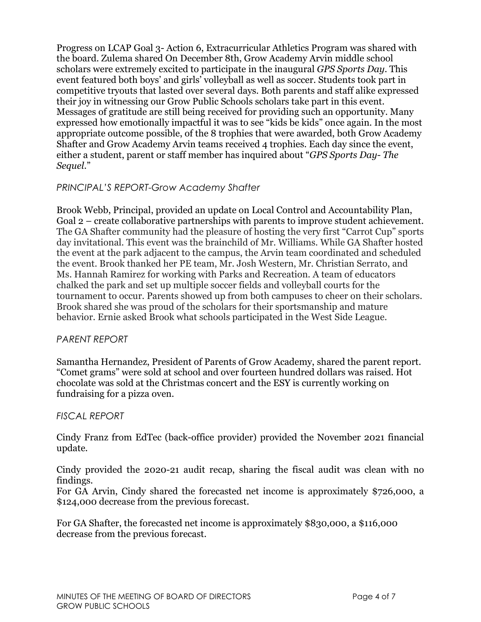Progress on LCAP Goal 3- Action 6, Extracurricular Athletics Program was shared with the board. Zulema shared On December 8th, Grow Academy Arvin middle school scholars were extremely excited to participate in the inaugural *GPS Sports Day*. This event featured both boys' and girls' volleyball as well as soccer. Students took part in competitive tryouts that lasted over several days. Both parents and staff alike expressed their joy in witnessing our Grow Public Schools scholars take part in this event. Messages of gratitude are still being received for providing such an opportunity. Many expressed how emotionally impactful it was to see "kids be kids" once again. In the most appropriate outcome possible, of the 8 trophies that were awarded, both Grow Academy Shafter and Grow Academy Arvin teams received 4 trophies. Each day since the event, either a student, parent or staff member has inquired about "*GPS Sports Day- The Sequel*."

## *PRINCIPAL'S REPORT-Grow Academy Shafter*

Brook Webb, Principal, provided an update on Local Control and Accountability Plan, Goal 2 – create collaborative partnerships with parents to improve student achievement. The GA Shafter community had the pleasure of hosting the very first "Carrot Cup" sports day invitational. This event was the brainchild of Mr. Williams. While GA Shafter hosted the event at the park adjacent to the campus, the Arvin team coordinated and scheduled the event. Brook thanked her PE team, Mr. Josh Western, Mr. Christian Serrato, and Ms. Hannah Ramirez for working with Parks and Recreation. A team of educators chalked the park and set up multiple soccer fields and volleyball courts for the tournament to occur. Parents showed up from both campuses to cheer on their scholars. Brook shared she was proud of the scholars for their sportsmanship and mature behavior. Ernie asked Brook what schools participated in the West Side League.

## *PARENT REPORT*

Samantha Hernandez, President of Parents of Grow Academy, shared the parent report. "Comet grams" were sold at school and over fourteen hundred dollars was raised. Hot chocolate was sold at the Christmas concert and the ESY is currently working on fundraising for a pizza oven.

# *FISCAL REPORT*

Cindy Franz from EdTec (back-office provider) provided the November 2021 financial update.

Cindy provided the 2020-21 audit recap, sharing the fiscal audit was clean with no findings.

For GA Arvin, Cindy shared the forecasted net income is approximately \$726,000, a \$124,000 decrease from the previous forecast.

For GA Shafter, the forecasted net income is approximately \$830,000, a \$116,000 decrease from the previous forecast.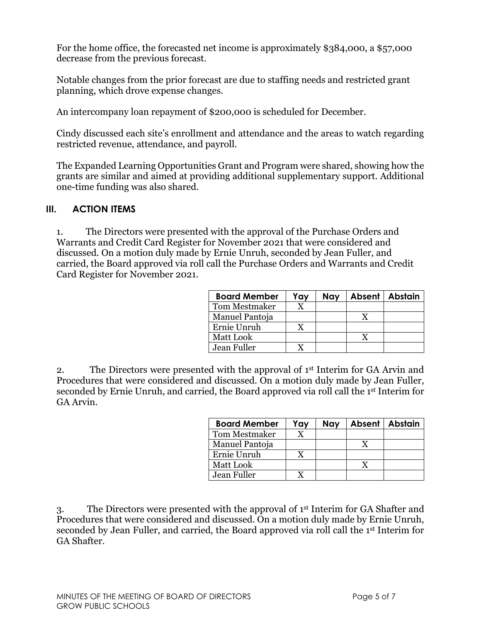For the home office, the forecasted net income is approximately \$384,000, a \$57,000 decrease from the previous forecast.

Notable changes from the prior forecast are due to staffing needs and restricted grant planning, which drove expense changes.

An intercompany loan repayment of \$200,000 is scheduled for December.

Cindy discussed each site's enrollment and attendance and the areas to watch regarding restricted revenue, attendance, and payroll.

The Expanded Learning Opportunities Grant and Program were shared, showing how the grants are similar and aimed at providing additional supplementary support. Additional one-time funding was also shared.

## **III. ACTION ITEMS**

1. The Directors were presented with the approval of the Purchase Orders and Warrants and Credit Card Register for November 2021 that were considered and discussed. On a motion duly made by Ernie Unruh, seconded by Jean Fuller, and carried, the Board approved via roll call the Purchase Orders and Warrants and Credit Card Register for November 2021.

| <b>Board Member</b>  | Yay | Nav | Absent   Abstain |
|----------------------|-----|-----|------------------|
| <b>Tom Mestmaker</b> |     |     |                  |
| Manuel Pantoja       |     |     |                  |
| Ernie Unruh          |     |     |                  |
| <b>Matt Look</b>     |     |     |                  |
| Jean Fuller          |     |     |                  |

2. The Directors were presented with the approval of  $1<sup>st</sup>$  Interim for GA Arvin and Procedures that were considered and discussed. On a motion duly made by Jean Fuller, seconded by Ernie Unruh, and carried, the Board approved via roll call the 1st Interim for GA Arvin.

| <b>Board Member</b>  | Yay | Nay | Absent   Abstain |
|----------------------|-----|-----|------------------|
| <b>Tom Mestmaker</b> |     |     |                  |
| Manuel Pantoja       |     |     |                  |
| Ernie Unruh          |     |     |                  |
| Matt Look            |     |     |                  |
| Jean Fuller          |     |     |                  |

3. The Directors were presented with the approval of 1st Interim for GA Shafter and Procedures that were considered and discussed. On a motion duly made by Ernie Unruh, seconded by Jean Fuller, and carried, the Board approved via roll call the 1st Interim for GA Shafter.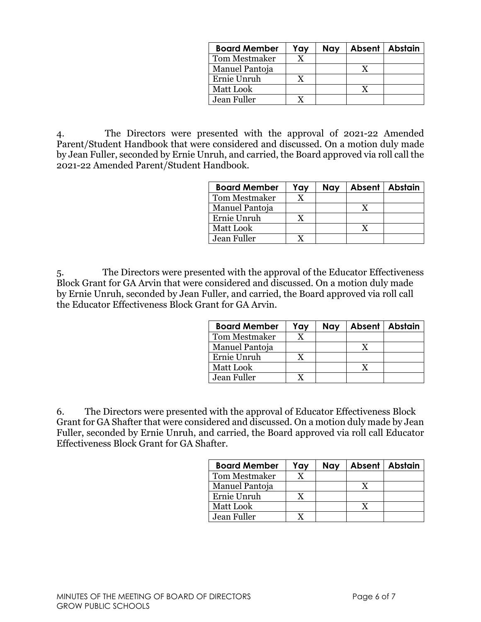| <b>Board Member</b>  | Yay | Nay | Absent   Abstain |
|----------------------|-----|-----|------------------|
| <b>Tom Mestmaker</b> |     |     |                  |
| Manuel Pantoja       |     |     |                  |
| Ernie Unruh          | X   |     |                  |
| Matt Look            |     |     |                  |
| Jean Fuller          |     |     |                  |

4. The Directors were presented with the approval of 2021-22 Amended Parent/Student Handbook that were considered and discussed. On a motion duly made by Jean Fuller, seconded by Ernie Unruh, and carried, the Board approved via roll call the 2021-22 Amended Parent/Student Handbook.

| <b>Board Member</b>  | Yay | Nay | Absent   Abstain |
|----------------------|-----|-----|------------------|
| <b>Tom Mestmaker</b> |     |     |                  |
| Manuel Pantoja       |     |     |                  |
| Ernie Unruh          |     |     |                  |
| Matt Look            |     |     |                  |
| Jean Fuller          |     |     |                  |

5. The Directors were presented with the approval of the Educator Effectiveness Block Grant for GA Arvin that were considered and discussed. On a motion duly made by Ernie Unruh, seconded by Jean Fuller, and carried, the Board approved via roll call the Educator Effectiveness Block Grant for GA Arvin.

| <b>Board Member</b>  | Yay | Nay | Absent   Abstain |
|----------------------|-----|-----|------------------|
| <b>Tom Mestmaker</b> |     |     |                  |
| Manuel Pantoja       |     |     |                  |
| Ernie Unruh          |     |     |                  |
| <b>Matt Look</b>     |     |     |                  |
| Jean Fuller          |     |     |                  |

6. The Directors were presented with the approval of Educator Effectiveness Block Grant for GA Shafter that were considered and discussed. On a motion duly made by Jean Fuller, seconded by Ernie Unruh, and carried, the Board approved via roll call Educator Effectiveness Block Grant for GA Shafter.

| <b>Board Member</b>  | Yay | Nay | Absent   Abstain |
|----------------------|-----|-----|------------------|
| <b>Tom Mestmaker</b> |     |     |                  |
| Manuel Pantoja       |     |     |                  |
| Ernie Unruh          |     |     |                  |
| Matt Look            |     |     |                  |
| Jean Fuller          |     |     |                  |